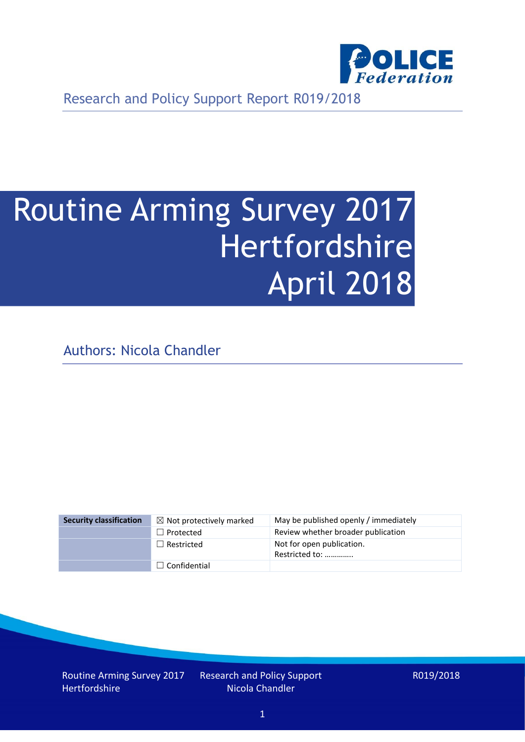

Research and Policy Support Report R019/2018

# Routine Arming Survey 2017 Hertfordshire April 2018

Authors: Nicola Chandler

| <b>Security classification</b> | $\boxtimes$ Not protectively marked | May be published openly / immediately       |
|--------------------------------|-------------------------------------|---------------------------------------------|
|                                | $\Box$ Protected                    | Review whether broader publication          |
|                                | $\Box$ Restricted                   | Not for open publication.<br>Restricted to: |
|                                | $\Box$ Confidential                 |                                             |

Routine Arming Survey 2017 **Hertfordshire** 

Research and Policy Support Nicola Chandler

R019/2018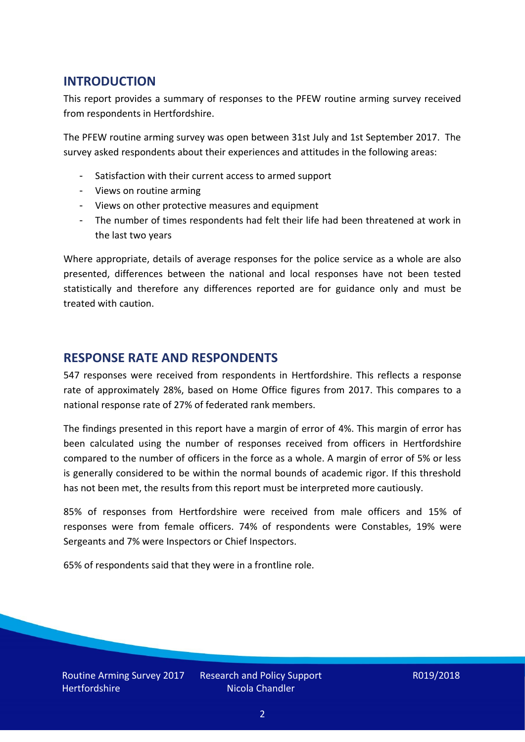## **INTRODUCTION**

This report provides a summary of responses to the PFEW routine arming survey received from respondents in Hertfordshire.

The PFEW routine arming survey was open between 31st July and 1st September 2017. The survey asked respondents about their experiences and attitudes in the following areas:

- Satisfaction with their current access to armed support
- Views on routine arming
- Views on other protective measures and equipment
- The number of times respondents had felt their life had been threatened at work in the last two years

Where appropriate, details of average responses for the police service as a whole are also presented, differences between the national and local responses have not been tested statistically and therefore any differences reported are for guidance only and must be treated with caution.

#### **RESPONSE RATE AND RESPONDENTS**

547 responses were received from respondents in Hertfordshire. This reflects a response rate of approximately 28%, based on Home Office figures from 2017. This compares to a national response rate of 27% of federated rank members.

The findings presented in this report have a margin of error of 4%. This margin of error has been calculated using the number of responses received from officers in Hertfordshire compared to the number of officers in the force as a whole. A margin of error of 5% or less is generally considered to be within the normal bounds of academic rigor. If this threshold has not been met, the results from this report must be interpreted more cautiously.

85% of responses from Hertfordshire were received from male officers and 15% of responses were from female officers. 74% of respondents were Constables, 19% were Sergeants and 7% were Inspectors or Chief Inspectors.

65% of respondents said that they were in a frontline role.

Research and Policy Support Nicola Chandler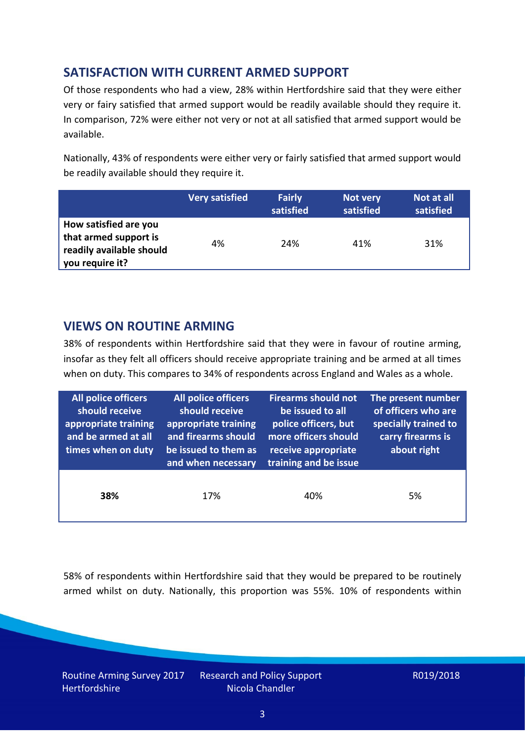# **SATISFACTION WITH CURRENT ARMED SUPPORT**

Of those respondents who had a view, 28% within Hertfordshire said that they were either very or fairy satisfied that armed support would be readily available should they require it. In comparison, 72% were either not very or not at all satisfied that armed support would be available.

Nationally, 43% of respondents were either very or fairly satisfied that armed support would be readily available should they require it.

|                                                                                               | <b>Very satisfied</b> | <b>Fairly</b><br>satisfied | Not very<br>satisfied | Not at all<br>satisfied |
|-----------------------------------------------------------------------------------------------|-----------------------|----------------------------|-----------------------|-------------------------|
| How satisfied are you<br>that armed support is<br>readily available should<br>you require it? | 4%                    | 24%                        | 41%                   | 31%                     |

### **VIEWS ON ROUTINE ARMING**

38% of respondents within Hertfordshire said that they were in favour of routine arming, insofar as they felt all officers should receive appropriate training and be armed at all times when on duty. This compares to 34% of respondents across England and Wales as a whole.

| <b>All police officers</b><br>should receive<br>appropriate training<br>and be armed at all<br>times when on duty | All police officers<br>should receive<br>appropriate training<br>and firearms should<br>be issued to them as<br>and when necessary | <b>Firearms should not</b><br>be issued to all<br>police officers, but<br>more officers should<br>receive appropriate<br>training and be issue | The present number<br>of officers who are<br>specially trained to<br>carry firearms is<br>about right |  |
|-------------------------------------------------------------------------------------------------------------------|------------------------------------------------------------------------------------------------------------------------------------|------------------------------------------------------------------------------------------------------------------------------------------------|-------------------------------------------------------------------------------------------------------|--|
| 38%                                                                                                               | 17%                                                                                                                                | 40%                                                                                                                                            | 5%                                                                                                    |  |

58% of respondents within Hertfordshire said that they would be prepared to be routinely armed whilst on duty. Nationally, this proportion was 55%. 10% of respondents within

Routine Arming Survey 2017 **Hertfordshire** 

Research and Policy Support Nicola Chandler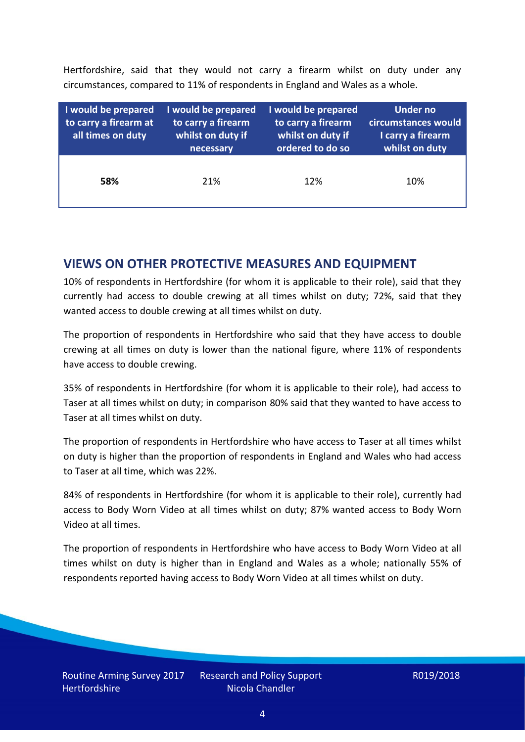Hertfordshire, said that they would not carry a firearm whilst on duty under any circumstances, compared to 11% of respondents in England and Wales as a whole.

| I would be prepared<br>to carry a firearm at<br>all times on duty | I would be prepared<br>to carry a firearm<br>whilst on duty if<br>necessary | I would be prepared<br>to carry a firearm<br>whilst on duty if<br>ordered to do so | Under no<br>circumstances would<br>I carry a firearm<br>whilst on duty |
|-------------------------------------------------------------------|-----------------------------------------------------------------------------|------------------------------------------------------------------------------------|------------------------------------------------------------------------|
| 58%                                                               | 21%                                                                         | 12%                                                                                | 10%                                                                    |

### **VIEWS ON OTHER PROTECTIVE MEASURES AND EQUIPMENT**

10% of respondents in Hertfordshire (for whom it is applicable to their role), said that they currently had access to double crewing at all times whilst on duty; 72%, said that they wanted access to double crewing at all times whilst on duty.

The proportion of respondents in Hertfordshire who said that they have access to double crewing at all times on duty is lower than the national figure, where 11% of respondents have access to double crewing.

35% of respondents in Hertfordshire (for whom it is applicable to their role), had access to Taser at all times whilst on duty; in comparison 80% said that they wanted to have access to Taser at all times whilst on duty.

The proportion of respondents in Hertfordshire who have access to Taser at all times whilst on duty is higher than the proportion of respondents in England and Wales who had access to Taser at all time, which was 22%.

84% of respondents in Hertfordshire (for whom it is applicable to their role), currently had access to Body Worn Video at all times whilst on duty; 87% wanted access to Body Worn Video at all times.

The proportion of respondents in Hertfordshire who have access to Body Worn Video at all times whilst on duty is higher than in England and Wales as a whole; nationally 55% of respondents reported having access to Body Worn Video at all times whilst on duty.

Research and Policy Support Nicola Chandler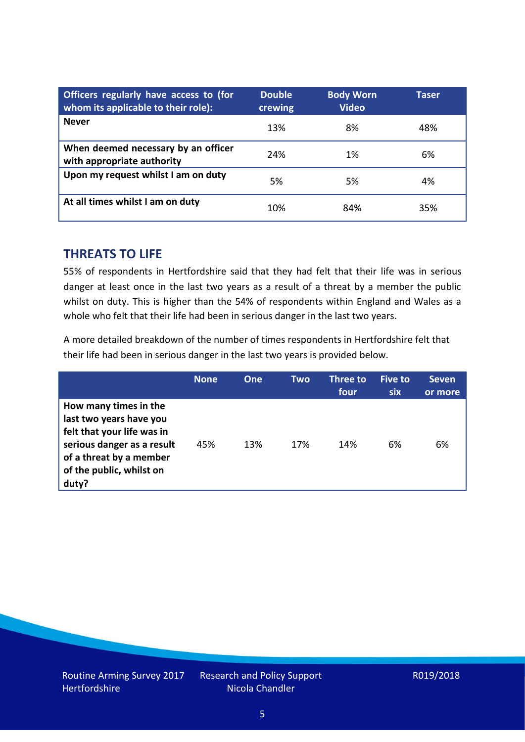| Officers regularly have access to (for<br>whom its applicable to their role): | <b>Double</b><br>crewing | <b>Body Worn</b><br><b>Video</b> | Taser |
|-------------------------------------------------------------------------------|--------------------------|----------------------------------|-------|
| <b>Never</b>                                                                  | 13%                      | 8%                               | 48%   |
| When deemed necessary by an officer<br>with appropriate authority             | 24%                      | 1%                               | 6%    |
| Upon my request whilst I am on duty                                           | 5%                       | 5%                               | 4%    |
| At all times whilst I am on duty                                              | 10%                      | 84%                              | 35%   |

#### **THREATS TO LIFE**

55% of respondents in Hertfordshire said that they had felt that their life was in serious danger at least once in the last two years as a result of a threat by a member the public whilst on duty. This is higher than the 54% of respondents within England and Wales as a whole who felt that their life had been in serious danger in the last two years.

A more detailed breakdown of the number of times respondents in Hertfordshire felt that their life had been in serious danger in the last two years is provided below.

|                                                                                                                                                                              | <b>None</b> | One | Two | Three to<br>four | Five to<br><b>six</b> | <b>Seven</b><br>or more |
|------------------------------------------------------------------------------------------------------------------------------------------------------------------------------|-------------|-----|-----|------------------|-----------------------|-------------------------|
| How many times in the<br>last two years have you<br>felt that your life was in<br>serious danger as a result<br>of a threat by a member<br>of the public, whilst on<br>duty? | 45%         | 13% | 17% | 14%              | 6%                    | 6%                      |

Research and Policy Support Nicola Chandler

#### R019/2018